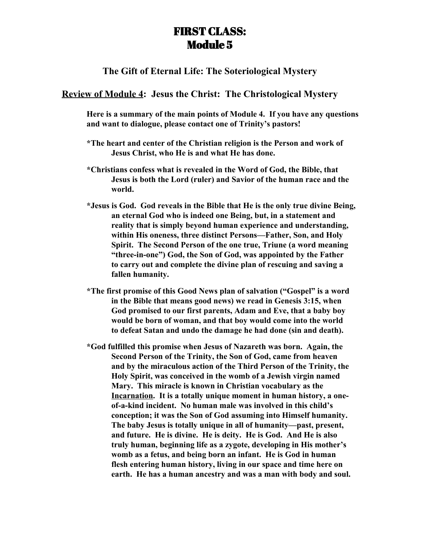## FIRST CLASS: Module 5

**The Gift of Eternal Life: The Soteriological Mystery**

## **Review of Module 4: Jesus the Christ: The Christological Mystery**

**Here is a summary of the main points of Module 4. If you have any questions and want to dialogue, please contact one of Trinity's pastors!**

- **\*The heart and center of the Christian religion is the Person and work of Jesus Christ, who He is and what He has done.**
- **\*Christians confess what is revealed in the Word of God, the Bible, that Jesus is both the Lord (ruler) and Savior of the human race and the world.**
- **\*Jesus is God. God reveals in the Bible that He is the only true divine Being, an eternal God who is indeed one Being, but, in a statement and reality that is simply beyond human experience and understanding, within His oneness, three distinct Persons—Father, Son, and Holy Spirit. The Second Person of the one true, Triune (a word meaning "three-in-one") God, the Son of God, was appointed by the Father to carry out and complete the divine plan of rescuing and saving a fallen humanity.**
- **\*The first promise of this Good News plan of salvation ("Gospel" is a word in the Bible that means good news) we read in Genesis 3:15, when God promised to our first parents, Adam and Eve, that a baby boy would be born of woman, and that boy would come into the world to defeat Satan and undo the damage he had done (sin and death).**
- **\*God fulfilled this promise when Jesus of Nazareth was born. Again, the Second Person of the Trinity, the Son of God, came from heaven and by the miraculous action of the Third Person of the Trinity, the Holy Spirit, was conceived in the womb of a Jewish virgin named Mary. This miracle is known in Christian vocabulary as the Incarnation. It is a totally unique moment in human history, a oneof-a-kind incident. No human male was involved in this child's conception; it was the Son of God assuming into Himself humanity. The baby Jesus is totally unique in all of humanity—past, present, and future. He is divine. He is deity. He is God. And He is also truly human, beginning life as a zygote, developing in His mother's womb as a fetus, and being born an infant. He is God in human flesh entering human history, living in our space and time here on earth. He has a human ancestry and was a man with body and soul.**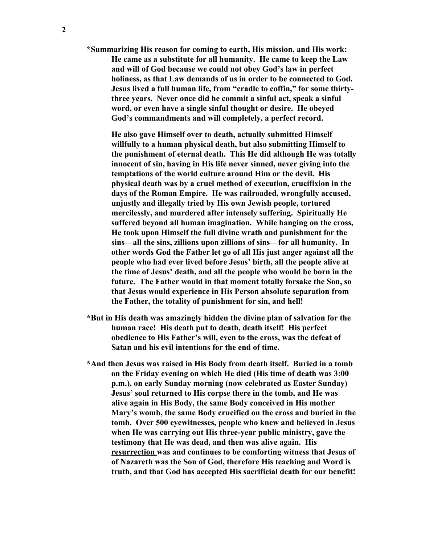**\*Summarizing His reason for coming to earth, His mission, and His work: He came as a substitute for all humanity. He came to keep the Law and will of God because we could not obey God's law in perfect holiness, as that Law demands of us in order to be connected to God. Jesus lived a full human life, from "cradle to coffin," for some thirtythree years. Never once did he commit a sinful act, speak a sinful word, or even have a single sinful thought or desire. He obeyed God's commandments and will completely, a perfect record.**

**He also gave Himself over to death, actually submitted Himself willfully to a human physical death, but also submitting Himself to the punishment of eternal death. This He did although He was totally innocent of sin, having in His life never sinned, never giving into the temptations of the world culture around Him or the devil. His physical death was by a cruel method of execution, crucifixion in the days of the Roman Empire. He was railroaded, wrongfully accused, unjustly and illegally tried by His own Jewish people, tortured mercilessly, and murdered after intensely suffering. Spiritually He suffered beyond all human imagination. While hanging on the cross, He took upon Himself the full divine wrath and punishment for the sins—all the sins, zillions upon zillions of sins—for all humanity. In other words God the Father let go of all His just anger against all the people who had ever lived before Jesus' birth, all the people alive at the time of Jesus' death, and all the people who would be born in the future. The Father would in that moment totally forsake the Son, so that Jesus would experience in His Person absolute separation from the Father, the totality of punishment for sin, and hell!**

- **\*But in His death was amazingly hidden the divine plan of salvation for the human race! His death put to death, death itself! His perfect obedience to His Father's will, even to the cross, was the defeat of Satan and his evil intentions for the end of time.**
- **\*And then Jesus was raised in His Body from death itself. Buried in a tomb on the Friday evening on which He died (His time of death was 3:00 p.m.), on early Sunday morning (now celebrated as Easter Sunday) Jesus' soul returned to His corpse there in the tomb, and He was alive again in His Body, the same Body conceived in His mother Mary's womb, the same Body crucified on the cross and buried in the tomb. Over 500 eyewitnesses, people who knew and believed in Jesus when He was carrying out His three-year public ministry, gave the testimony that He was dead, and then was alive again. His resurrection was and continues to be comforting witness that Jesus of of Nazareth was the Son of God, therefore His teaching and Word is truth, and that God has accepted His sacrificial death for our benefit!**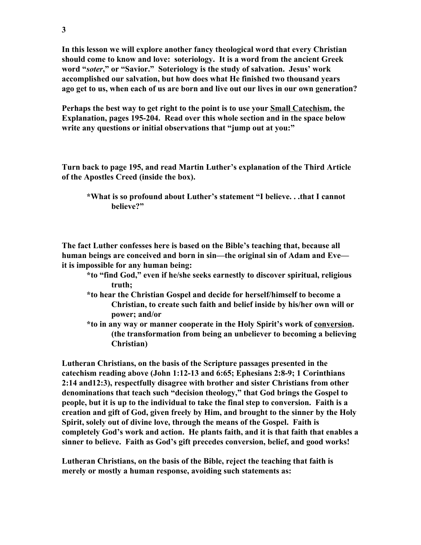**In this lesson we will explore another fancy theological word that every Christian should come to know and love: soteriology. It is a word from the ancient Greek word "***soter***," or "Savior." Soteriology is the study of salvation. Jesus' work accomplished our salvation, but how does what He finished two thousand years ago get to us, when each of us are born and live out our lives in our own generation?**

**Perhaps the best way to get right to the point is to use your Small Catechism, the Explanation, pages 195-204. Read over this whole section and in the space below write any questions or initial observations that "jump out at you:"**

**Turn back to page 195, and read Martin Luther's explanation of the Third Article of the Apostles Creed (inside the box).**

**The fact Luther confesses here is based on the Bible's teaching that, because all human beings are conceived and born in sin—the original sin of Adam and Eve it is impossible for any human being:**

- **\*to "find God," even if he/she seeks earnestly to discover spiritual, religious truth;**
- **\*to hear the Christian Gospel and decide for herself/himself to become a Christian, to create such faith and belief inside by his/her own will or power; and/or**
- **\*to in any way or manner cooperate in the Holy Spirit's work of conversion. (the transformation from being an unbeliever to becoming a believing Christian)**

**Lutheran Christians, on the basis of the Scripture passages presented in the catechism reading above (John 1:12-13 and 6:65; Ephesians 2:8-9; 1 Corinthians 2:14 and12:3), respectfully disagree with brother and sister Christians from other denominations that teach such "decision theology," that God brings the Gospel to people, but it is up to the individual to take the final step to conversion. Faith is a creation and gift of God, given freely by Him, and brought to the sinner by the Holy Spirit, solely out of divine love, through the means of the Gospel. Faith is completely God's work and action. He plants faith, and it is that faith that enables a sinner to believe. Faith as God's gift precedes conversion, belief, and good works!**

**Lutheran Christians, on the basis of the Bible, reject the teaching that faith is merely or mostly a human response, avoiding such statements as:**

**<sup>\*</sup>What is so profound about Luther's statement "I believe. . .that I cannot believe?"**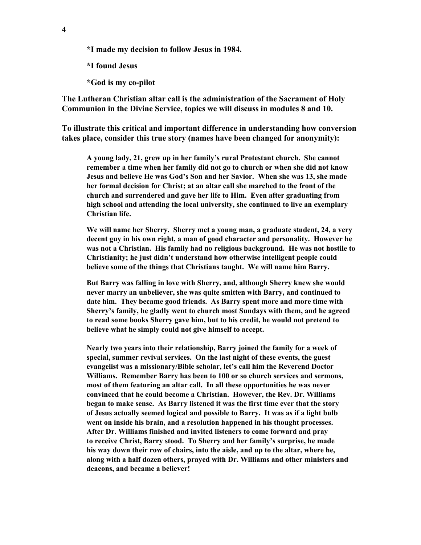**\*I made my decision to follow Jesus in 1984.**

**\*I found Jesus**

**\*God is my co-pilot**

**The Lutheran Christian altar call is the administration of the Sacrament of Holy Communion in the Divine Service, topics we will discuss in modules 8 and 10.**

**To illustrate this critical and important difference in understanding how conversion takes place, consider this true story (names have been changed for anonymity):**

**A young lady, 21, grew up in her family's rural Protestant church. She cannot remember a time when her family did not go to church or when she did not know Jesus and believe He was God's Son and her Savior. When she was 13, she made her formal decision for Christ; at an altar call she marched to the front of the church and surrendered and gave her life to Him. Even after graduating from high school and attending the local university, she continued to live an exemplary Christian life.**

**We will name her Sherry. Sherry met a young man, a graduate student, 24, a very decent guy in his own right, a man of good character and personality. However he was not a Christian. His family had no religious background. He was not hostile to Christianity; he just didn't understand how otherwise intelligent people could believe some of the things that Christians taught. We will name him Barry.**

**But Barry was falling in love with Sherry, and, although Sherry knew she would never marry an unbeliever, she was quite smitten with Barry, and continued to date him. They became good friends. As Barry spent more and more time with Sherry's family, he gladly went to church most Sundays with them, and he agreed to read some books Sherry gave him, but to his credit, he would not pretend to believe what he simply could not give himself to accept.**

**Nearly two years into their relationship, Barry joined the family for a week of special, summer revival services. On the last night of these events, the guest evangelist was a missionary/Bible scholar, let's call him the Reverend Doctor Williams. Remember Barry has been to 100 or so church services and sermons, most of them featuring an altar call. In all these opportunities he was never convinced that he could become a Christian. However, the Rev. Dr. Williams began to make sense. As Barry listened it was the first time ever that the story of Jesus actually seemed logical and possible to Barry. It was as if a light bulb went on inside his brain, and a resolution happened in his thought processes. After Dr. Williams finished and invited listeners to come forward and pray to receive Christ, Barry stood. To Sherry and her family's surprise, he made his way down their row of chairs, into the aisle, and up to the altar, where he, along with a half dozen others, prayed with Dr. Williams and other ministers and deacons, and became a believer!**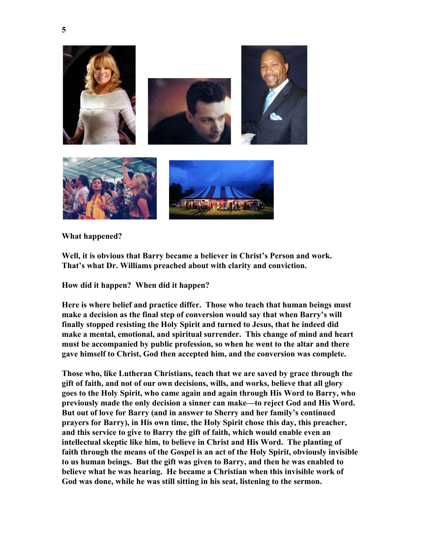

**What happened?**

**Well, it is obvious that Barry became a believer in Christ's Person and work. That's what Dr. Williams preached about with clarity and conviction.**

**How did it happen? When did it happen?**

**Here is where belief and practice differ. Those who teach that human beings must make a decision as the final step of conversion would say that when Barry's will finally stopped resisting the Holy Spirit and turned to Jesus, that he indeed did make a mental, emotional, and spiritual surrender. This change of mind and heart must be accompanied by public profession, so when he went to the altar and there gave himself to Christ, God then accepted him, and the conversion was complete.**

**Those who, like Lutheran Christians, teach that we are saved by grace through the gift of faith, and not of our own decisions, wills, and works, believe that all glory goes to the Holy Spirit, who came again and again through His Word to Barry, who previously made the only decision a sinner can make—to reject God and His Word. But out of love for Barry (and in answer to Sherry and her family's continued prayers for Barry), in His own time, the Holy Spirit chose this day, this preacher, and this service to give to Barry the gift of faith, which would enable even an intellectual skeptic like him, to believe in Christ and His Word. The planting of faith through the means of the Gospel is an act of the Holy Spirit, obviously invisible to us human beings. But the gift was given to Barry, and then he was enabled to believe what he was hearing. He became a Christian when this invisible work of God was done, while he was still sitting in his seat, listening to the sermon.**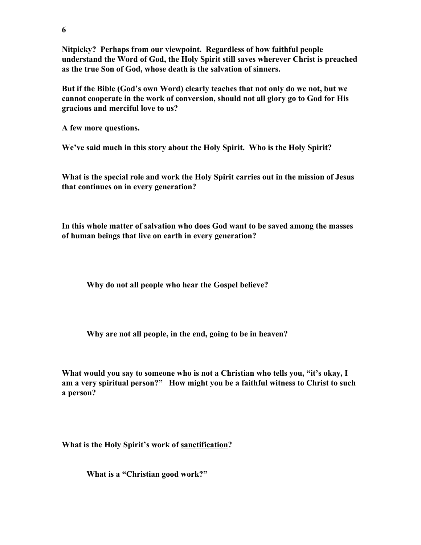**Nitpicky? Perhaps from our viewpoint. Regardless of how faithful people understand the Word of God, the Holy Spirit still saves wherever Christ is preached as the true Son of God, whose death is the salvation of sinners.**

**But if the Bible (God's own Word) clearly teaches that not only do we not, but we cannot cooperate in the work of conversion, should not all glory go to God for His gracious and merciful love to us?**

**A few more questions.**

**We've said much in this story about the Holy Spirit. Who is the Holy Spirit?**

**What is the special role and work the Holy Spirit carries out in the mission of Jesus that continues on in every generation?**

**In this whole matter of salvation who does God want to be saved among the masses of human beings that live on earth in every generation?**

**Why do not all people who hear the Gospel believe?**

**Why are not all people, in the end, going to be in heaven?**

**What would you say to someone who is not a Christian who tells you, "it's okay, I am a very spiritual person?" How might you be a faithful witness to Christ to such a person?**

**What is the Holy Spirit's work of sanctification?**

**What is a "Christian good work?"**